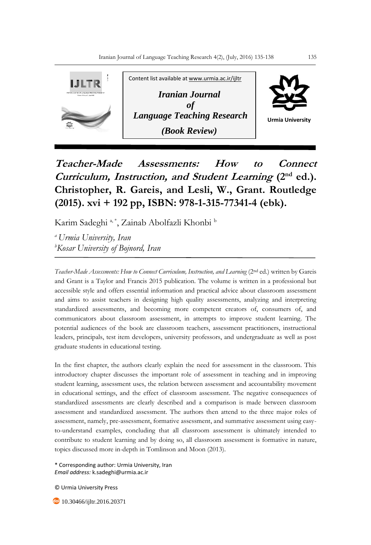

**Teacher-Made Assessments: How to Connect Curriculum, Instruction, and Student Learning (2nd ed.). Christopher, R. Gareis, and Lesli, W., Grant. Routledge (2015). xvi + 192 pp, ISBN: 978-1-315-77341-4 (ebk).**

Karim Sadeghi a,\*, Zainab Abolfazli Khonbi b

*<sup>a</sup>Urmia University, Iran <sup>b</sup>Kosar University of Bojnord, Iran*

*Teacher-Made Assessments: How to Connect Curriculum, Instruction, and Learning* (2nd ed.) written by Gareis and Grant is a Taylor and Francis 2015 publication. The volume is written in a professional but accessible style and offers essential information and practical advice about classroom assessment and aims to assist teachers in designing high quality assessments, analyzing and interpreting standardized assessments, and becoming more competent creators of, consumers of, and communicators about classroom assessment, in attempts to improve student learning. The potential audiences of the book are classroom teachers, assessment practitioners, instructional leaders, principals, test item developers, university professors, and undergraduate as well as post graduate students in educational testing.

In the first chapter, the authors clearly explain the need for assessment in the classroom. This introductory chapter discusses the important role of assessment in teaching and in improving student learning, assessment uses, the relation between assessment and accountability movement in educational settings, and the effect of classroom assessment. The negative consequences of standardized assessments are clearly described and a comparison is made between classroom assessment and standardized assessment. The authors then attend to the three major roles of assessment, namely, pre-assessment, formative assessment, and summative assessment using easyto-understand examples, concluding that all classroom assessment is ultimately intended to contribute to student learning and by doing so, all classroom assessment is formative in nature, topics discussed more in-depth in Tomlinson and Moon (2013).

\* Corresponding author: Urmia University, Iran *Email address:* k.sadeghi@urmia.ac.ir

© Urmia University Press

**10.30466/ijltr.2016.20371**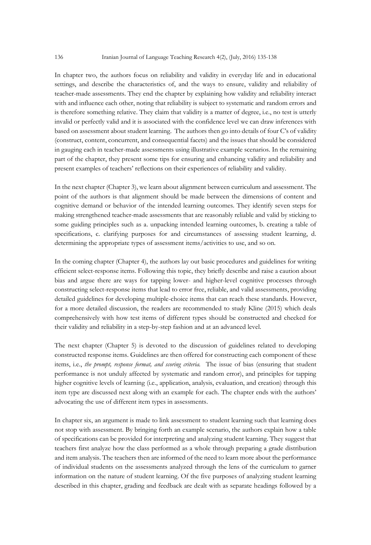In chapter two, the authors focus on reliability and validity in everyday life and in educational settings, and describe the characteristics of, and the ways to ensure, validity and reliability of teacher-made assessments. They end the chapter by explaining how validity and reliability interact with and influence each other, noting that reliability is subject to systematic and random errors and is therefore something relative. They claim that validity is a matter of degree, i.e., no test is utterly invalid or perfectly valid and it is associated with the confidence level we can draw inferences with based on assessment about student learning. The authors then go into details of four C's of validity (construct, content, concurrent, and consequential facets) and the issues that should be considered in gauging each in teacher-made assessments using illustrative example scenarios. In the remaining part of the chapter, they present some tips for ensuring and enhancing validity and reliability and present examples of teachers' reflections on their experiences of reliability and validity.

In the next chapter (Chapter 3), we learn about alignment between curriculum and assessment. The point of the authors is that alignment should be made between the dimensions of content and cognitive demand or behavior of the intended learning outcomes. They identify seven steps for making strengthened teacher-made assessments that are reasonably reliable and valid by sticking to some guiding principles such as a. unpacking intended learning outcomes, b. creating a table of specifications, c. clarifying purposes for and circumstances of assessing student learning, d. determining the appropriate types of assessment items/activities to use, and so on.

In the coming chapter (Chapter 4), the authors lay out basic procedures and guidelines for writing efficient select-response items. Following this topic, they briefly describe and raise a caution about bias and argue there are ways for tapping lower- and higher-level cognitive processes through constructing select-response items that lead to error free, reliable, and valid assessments, providing detailed guidelines for developing multiple-choice items that can reach these standards. However, for a more detailed discussion, the readers are recommended to study Kline (2015) which deals comprehensively with how test items of different types should be constructed and checked for their validity and reliability in a step-by-step fashion and at an advanced level.

The next chapter (Chapter 5) is devoted to the discussion of guidelines related to developing constructed response items. Guidelines are then offered for constructing each component of these items, i.e., *the prompt, response format, and scoring criteria.* The issue of bias (ensuring that student performance is not unduly affected by systematic and random error), and principles for tapping higher cognitive levels of learning (i.e., application, analysis, evaluation, and creation) through this item type are discussed next along with an example for each. The chapter ends with the authors' advocating the use of different item types in assessments.

In chapter six, an argument is made to link assessment to student learning such that learning does not stop with assessment. By bringing forth an example scenario, the authors explain how a table of specifications can be provided for interpreting and analyzing student learning. They suggest that teachers first analyze how the class performed as a whole through preparing a grade distribution and item analysis. The teachers then are informed of the need to learn more about the performance of individual students on the assessments analyzed through the lens of the curriculum to garner information on the nature of student learning. Of the five purposes of analyzing student learning described in this chapter, grading and feedback are dealt with as separate headings followed by a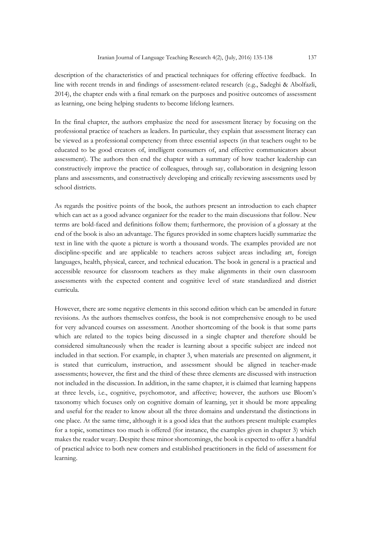description of the characteristics of and practical techniques for offering effective feedback. In line with recent trends in and findings of assessment-related research (e.g., Sadeghi & Abolfazli, 2014), the chapter ends with a final remark on the purposes and positive outcomes of assessment as learning, one being helping students to become lifelong learners.

In the final chapter, the authors emphasize the need for assessment literacy by focusing on the professional practice of teachers as leaders. In particular, they explain that assessment literacy can be viewed as a professional competency from three essential aspects (in that teachers ought to be educated to be good creators of, intelligent consumers of, and effective communicators about assessment). The authors then end the chapter with a summary of how teacher leadership can constructively improve the practice of colleagues, through say, collaboration in designing lesson plans and assessments, and constructively developing and critically reviewing assessments used by school districts.

As regards the positive points of the book, the authors present an introduction to each chapter which can act as a good advance organizer for the reader to the main discussions that follow. New terms are bold-faced and definitions follow them; furthermore, the provision of a glossary at the end of the book is also an advantage. The figures provided in some chapters lucidly summarize the text in line with the quote a picture is worth a thousand words. The examples provided are not discipline-specific and are applicable to teachers across subject areas including art, foreign languages, health, physical, career, and technical education. The book in general is a practical and accessible resource for classroom teachers as they make alignments in their own classroom assessments with the expected content and cognitive level of state standardized and district curricula.

However, there are some negative elements in this second edition which can be amended in future revisions. As the authors themselves confess, the book is not comprehensive enough to be used for very advanced courses on assessment. Another shortcoming of the book is that some parts which are related to the topics being discussed in a single chapter and therefore should be considered simultaneously when the reader is learning about a specific subject are indeed not included in that section. For example, in chapter 3, when materials are presented on alignment, it is stated that curriculum, instruction, and assessment should be aligned in teacher-made assessments; however, the first and the third of these three elements are discussed with instruction not included in the discussion. In addition, in the same chapter, it is claimed that learning happens at three levels, i.e., cognitive, psychomotor, and affective; however, the authors use Bloom's taxonomy which focuses only on cognitive domain of learning, yet it should be more appealing and useful for the reader to know about all the three domains and understand the distinctions in one place. At the same time, although it is a good idea that the authors present multiple examples for a topic, sometimes too much is offered (for instance, the examples given in chapter 3) which makes the reader weary. Despite these minor shortcomings, the book is expected to offer a handful of practical advice to both new comers and established practitioners in the field of assessment for learning.